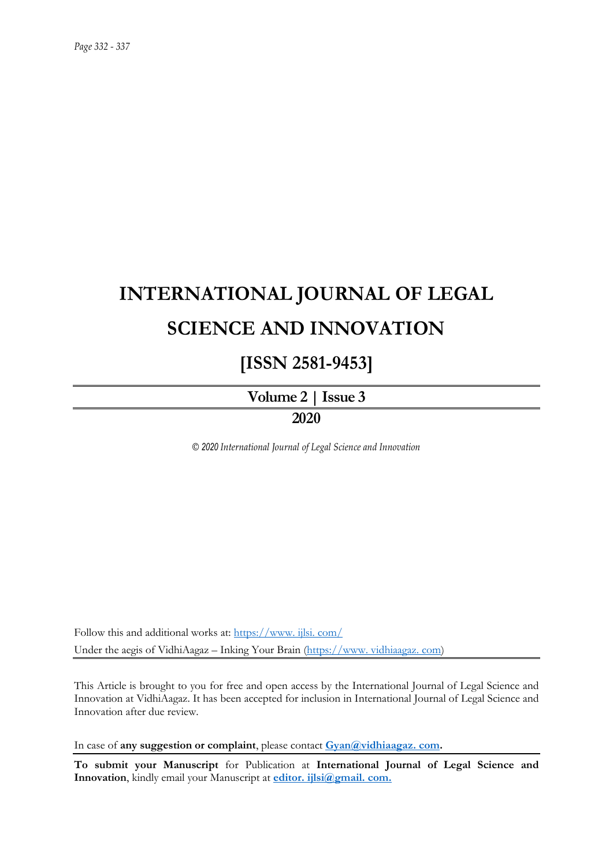# **INTERNATIONAL JOURNAL OF LEGAL SCIENCE AND INNOVATION**

## **[ISSN 2581-9453]**

**Volume 2 | Issue 3 2020**

*© 2020 International Journal of Legal Science and Innovation*

Follow this and additional works at: [https://www. ijlsi. com/](https://www.ijlsi.com/) Under the aegis of VidhiAagaz – Inking Your Brain [\(https://www. vidhiaagaz. com\)](https://www.vidhiaagaz.com/)

This Article is brought to you for free and open access by the International Journal of Legal Science and Innovation at VidhiAagaz. It has been accepted for inclusion in International Journal of Legal Science and Innovation after due review.

In case of **any suggestion or complaint**, please contact **[Gyan@vidhiaagaz. com.](mailto:Gyan@vidhiaagaz.com)** 

**To submit your Manuscript** for Publication at **International Journal of Legal Science and Innovation**, kindly email your Manuscript at **[editor. ijlsi@gmail. com.](mailto:editor.ijlsi@gmail.com)**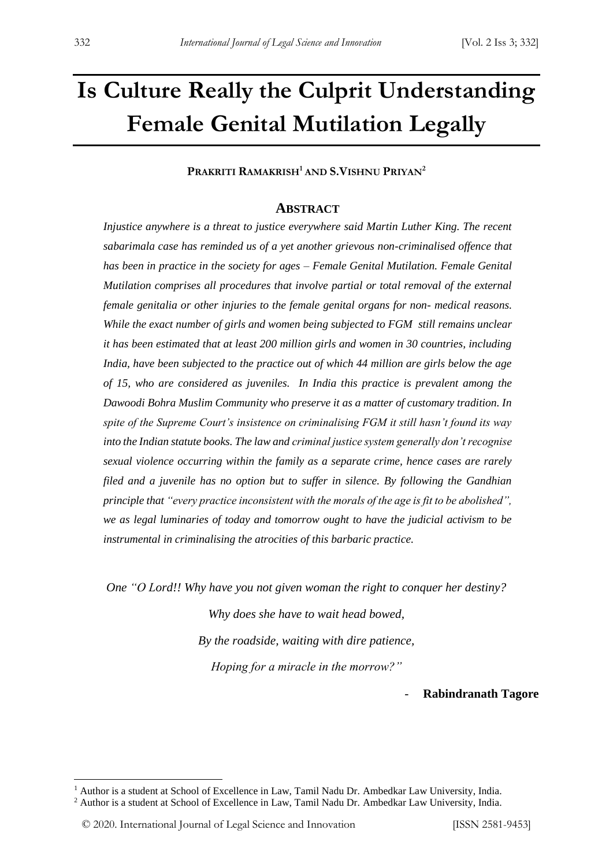# **Is Culture Really the Culprit Understanding Female Genital Mutilation Legally**

**PRAKRITI RAMAKRISH<sup>1</sup> AND S.VISHNU PRIYAN<sup>2</sup>**

#### **ABSTRACT**

*Injustice anywhere is a threat to justice everywhere said Martin Luther King. The recent sabarimala case has reminded us of a yet another grievous non-criminalised offence that has been in practice in the society for ages – Female Genital Mutilation. Female Genital Mutilation comprises all procedures that involve partial or total removal of the external female genitalia or other injuries to the female genital organs for non- medical reasons. While the exact number of girls and women being subjected to FGM still remains unclear it has been estimated that at least 200 million girls and women in 30 countries, including India, have been subjected to the practice out of which 44 million are girls below the age of 15, who are considered as juveniles. In India this practice is prevalent among the Dawoodi Bohra Muslim Community who preserve it as a matter of customary tradition. In spite of the Supreme Court's insistence on criminalising FGM it still hasn't found its way into the Indian statute books. The law and criminal justice system generally don't recognise sexual violence occurring within the family as a separate crime, hence cases are rarely filed and a juvenile has no option but to suffer in silence. By following the Gandhian principle that "every practice inconsistent with the morals of the age is fit to be abolished", we as legal luminaries of today and tomorrow ought to have the judicial activism to be instrumental in criminalising the atrocities of this barbaric practice.*

*One "O Lord!! Why have you not given woman the right to conquer her destiny?*

*Why does she have to wait head bowed, By the roadside, waiting with dire patience, Hoping for a miracle in the morrow?"*

- **Rabindranath Tagore**

<u>.</u>

<sup>&</sup>lt;sup>1</sup> Author is a student at School of Excellence in Law, Tamil Nadu Dr. Ambedkar Law University, India. <sup>2</sup> Author is a student at School of Excellence in Law, Tamil Nadu Dr. Ambedkar Law University, India.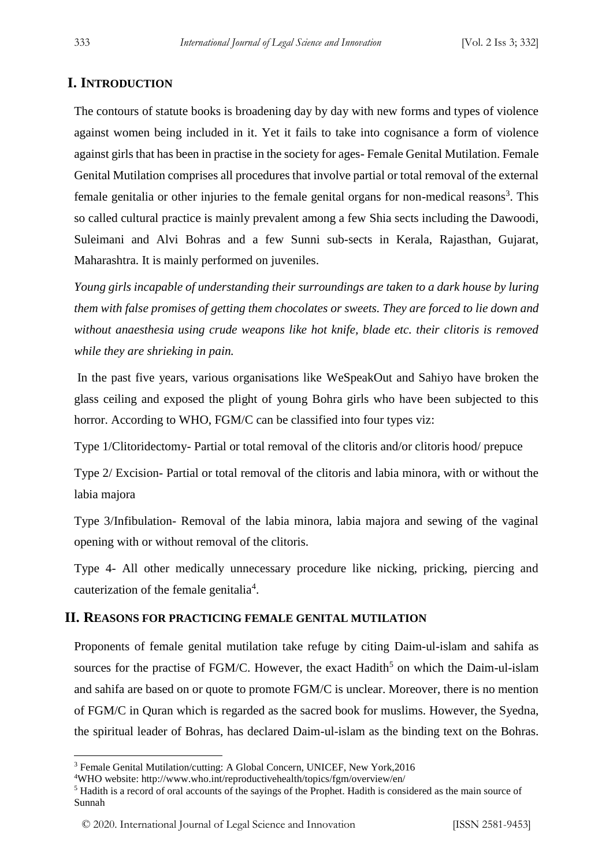### **I. INTRODUCTION**

The contours of statute books is broadening day by day with new forms and types of violence against women being included in it. Yet it fails to take into cognisance a form of violence against girls that has been in practise in the society for ages- Female Genital Mutilation. Female Genital Mutilation comprises all procedures that involve partial or total removal of the external female genitalia or other injuries to the female genital organs for non-medical reasons<sup>3</sup>. This so called cultural practice is mainly prevalent among a few Shia sects including the Dawoodi, Suleimani and Alvi Bohras and a few Sunni sub-sects in Kerala, Rajasthan, Gujarat, Maharashtra. It is mainly performed on juveniles.

*Young girls incapable of understanding their surroundings are taken to a dark house by luring them with false promises of getting them chocolates or sweets. They are forced to lie down and without anaesthesia using crude weapons like hot knife, blade etc. their clitoris is removed while they are shrieking in pain.*

In the past five years, various organisations like WeSpeakOut and Sahiyo have broken the glass ceiling and exposed the plight of young Bohra girls who have been subjected to this horror. According to WHO, FGM/C can be classified into four types viz:

Type 1/Clitoridectomy- Partial or total removal of the clitoris and/or clitoris hood/ prepuce

Type 2/ Excision- Partial or total removal of the clitoris and labia minora, with or without the labia majora

Type 3/Infibulation- Removal of the labia minora, labia majora and sewing of the vaginal opening with or without removal of the clitoris.

Type 4- All other medically unnecessary procedure like nicking, pricking, piercing and cauterization of the female genitalia<sup>4</sup>.

### **II. REASONS FOR PRACTICING FEMALE GENITAL MUTILATION**

Proponents of female genital mutilation take refuge by citing Daim-ul-islam and sahifa as sources for the practise of FGM/C. However, the exact Hadith<sup>5</sup> on which the Daim-ul-islam and sahifa are based on or quote to promote FGM/C is unclear. Moreover, there is no mention of FGM/C in Quran which is regarded as the sacred book for muslims. However, the Syedna, the spiritual leader of Bohras, has declared Daim-ul-islam as the binding text on the Bohras.

-

<sup>&</sup>lt;sup>3</sup> Female Genital Mutilation/cutting: A Global Concern, UNICEF, New York, 2016

<sup>4</sup>WHO website: http://www.who.int/reproductivehealth/topics/fgm/overview/en/

<sup>5</sup> Hadith is a record of oral accounts of the sayings of the Prophet. Hadith is considered as the main source of Sunnah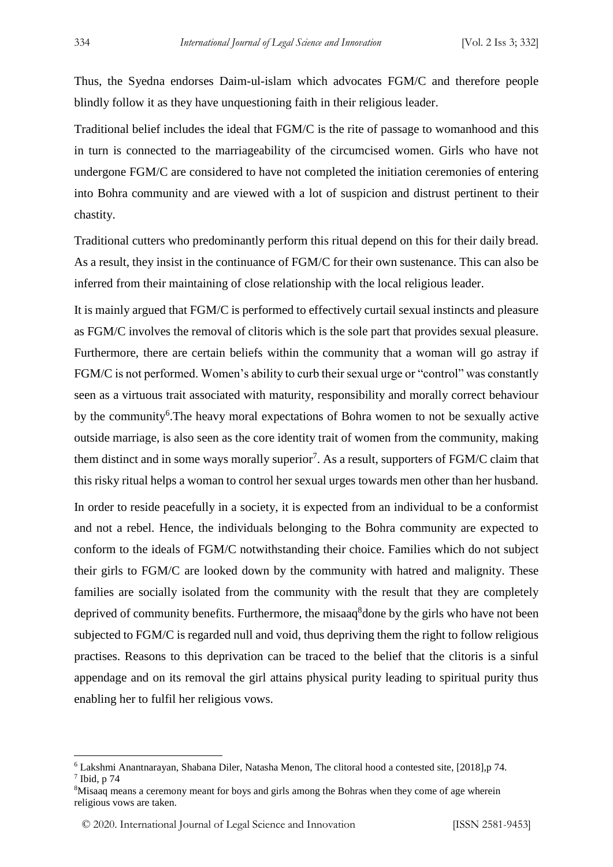Thus, the Syedna endorses Daim-ul-islam which advocates FGM/C and therefore people blindly follow it as they have unquestioning faith in their religious leader.

Traditional belief includes the ideal that FGM/C is the rite of passage to womanhood and this in turn is connected to the marriageability of the circumcised women. Girls who have not undergone FGM/C are considered to have not completed the initiation ceremonies of entering into Bohra community and are viewed with a lot of suspicion and distrust pertinent to their chastity.

Traditional cutters who predominantly perform this ritual depend on this for their daily bread. As a result, they insist in the continuance of FGM/C for their own sustenance. This can also be inferred from their maintaining of close relationship with the local religious leader.

It is mainly argued that FGM/C is performed to effectively curtail sexual instincts and pleasure as FGM/C involves the removal of clitoris which is the sole part that provides sexual pleasure. Furthermore, there are certain beliefs within the community that a woman will go astray if FGM/C is not performed. Women's ability to curb their sexual urge or "control" was constantly seen as a virtuous trait associated with maturity, responsibility and morally correct behaviour by the community<sup>6</sup>. The heavy moral expectations of Bohra women to not be sexually active outside marriage, is also seen as the core identity trait of women from the community, making them distinct and in some ways morally superior<sup>7</sup>. As a result, supporters of FGM/C claim that this risky ritual helps a woman to control her sexual urges towards men other than her husband.

In order to reside peacefully in a society, it is expected from an individual to be a conformist and not a rebel. Hence, the individuals belonging to the Bohra community are expected to conform to the ideals of FGM/C notwithstanding their choice. Families which do not subject their girls to FGM/C are looked down by the community with hatred and malignity. These families are socially isolated from the community with the result that they are completely deprived of community benefits. Furthermore, the misaaq<sup>8</sup>done by the girls who have not been subjected to FGM/C is regarded null and void, thus depriving them the right to follow religious practises. Reasons to this deprivation can be traced to the belief that the clitoris is a sinful appendage and on its removal the girl attains physical purity leading to spiritual purity thus enabling her to fulfil her religious vows.

-

<sup>6</sup> Lakshmi Anantnarayan, Shabana Diler, Natasha Menon, The clitoral hood a contested site, [2018],p 74.  $<sup>7</sup>$  Ibid, p 74</sup>

<sup>&</sup>lt;sup>8</sup>Misaaq means a ceremony meant for boys and girls among the Bohras when they come of age wherein religious vows are taken.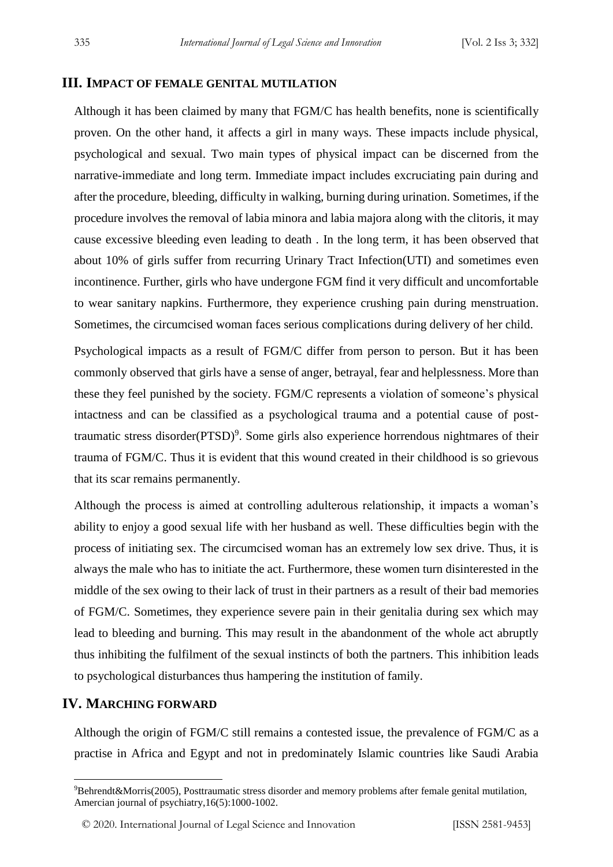#### **III. IMPACT OF FEMALE GENITAL MUTILATION**

Although it has been claimed by many that FGM/C has health benefits, none is scientifically proven. On the other hand, it affects a girl in many ways. These impacts include physical, psychological and sexual. Two main types of physical impact can be discerned from the narrative-immediate and long term. Immediate impact includes excruciating pain during and after the procedure, bleeding, difficulty in walking, burning during urination. Sometimes, if the procedure involves the removal of labia minora and labia majora along with the clitoris, it may cause excessive bleeding even leading to death . In the long term, it has been observed that about 10% of girls suffer from recurring Urinary Tract Infection(UTI) and sometimes even incontinence. Further, girls who have undergone FGM find it very difficult and uncomfortable to wear sanitary napkins. Furthermore, they experience crushing pain during menstruation. Sometimes, the circumcised woman faces serious complications during delivery of her child.

Psychological impacts as a result of FGM/C differ from person to person. But it has been commonly observed that girls have a sense of anger, betrayal, fear and helplessness. More than these they feel punished by the society. FGM/C represents a violation of someone's physical intactness and can be classified as a psychological trauma and a potential cause of posttraumatic stress disorder(PTSD)<sup>9</sup>. Some girls also experience horrendous nightmares of their trauma of FGM/C. Thus it is evident that this wound created in their childhood is so grievous that its scar remains permanently.

Although the process is aimed at controlling adulterous relationship, it impacts a woman's ability to enjoy a good sexual life with her husband as well. These difficulties begin with the process of initiating sex. The circumcised woman has an extremely low sex drive. Thus, it is always the male who has to initiate the act. Furthermore, these women turn disinterested in the middle of the sex owing to their lack of trust in their partners as a result of their bad memories of FGM/C. Sometimes, they experience severe pain in their genitalia during sex which may lead to bleeding and burning. This may result in the abandonment of the whole act abruptly thus inhibiting the fulfilment of the sexual instincts of both the partners. This inhibition leads to psychological disturbances thus hampering the institution of family.

#### **IV. MARCHING FORWARD**

<u>.</u>

Although the origin of FGM/C still remains a contested issue, the prevalence of FGM/C as a practise in Africa and Egypt and not in predominately Islamic countries like Saudi Arabia

<sup>9</sup>Behrendt&Morris(2005), Posttraumatic stress disorder and memory problems after female genital mutilation, Amercian journal of psychiatry,16(5):1000-1002.

<sup>© 2020.</sup> International Journal of Legal Science and Innovation [ISSN 2581-9453]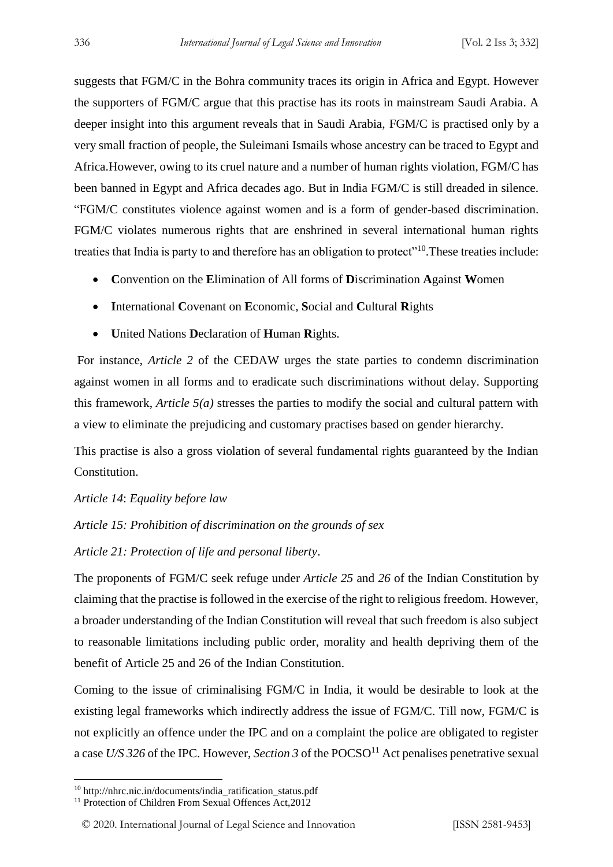suggests that FGM/C in the Bohra community traces its origin in Africa and Egypt. However the supporters of FGM/C argue that this practise has its roots in mainstream Saudi Arabia. A deeper insight into this argument reveals that in Saudi Arabia, FGM/C is practised only by a very small fraction of people, the Suleimani Ismails whose ancestry can be traced to Egypt and Africa.However, owing to its cruel nature and a number of human rights violation, FGM/C has been banned in Egypt and Africa decades ago. But in India FGM/C is still dreaded in silence. "FGM/C constitutes violence against women and is a form of gender-based discrimination. FGM/C violates numerous rights that are enshrined in several international human rights treaties that India is party to and therefore has an obligation to protect"<sup>10</sup>. These treaties include:

- **C**onvention on the **E**limination of All forms of **D**iscrimination **A**gainst **W**omen
- **I**nternational **C**ovenant on **E**conomic, **S**ocial and **C**ultural **R**ights
- **U**nited Nations **D**eclaration of **H**uman **R**ights.

For instance, *Article 2* of the CEDAW urges the state parties to condemn discrimination against women in all forms and to eradicate such discriminations without delay. Supporting this framework, *Article 5(a)* stresses the parties to modify the social and cultural pattern with a view to eliminate the prejudicing and customary practises based on gender hierarchy.

This practise is also a gross violation of several fundamental rights guaranteed by the Indian Constitution.

*Article 14*: *Equality before law*

*Article 15: Prohibition of discrimination on the grounds of sex*

*Article 21: Protection of life and personal liberty*.

The proponents of FGM/C seek refuge under *Article 25* and *26* of the Indian Constitution by claiming that the practise is followed in the exercise of the right to religious freedom. However, a broader understanding of the Indian Constitution will reveal that such freedom is also subject to reasonable limitations including public order, morality and health depriving them of the benefit of Article 25 and 26 of the Indian Constitution.

Coming to the issue of criminalising FGM/C in India, it would be desirable to look at the existing legal frameworks which indirectly address the issue of FGM/C. Till now, FGM/C is not explicitly an offence under the IPC and on a complaint the police are obligated to register a case  $U/S$  326 of the IPC. However, *Section* 3 of the POCSO<sup>11</sup> Act penalises penetrative sexual

<u>.</u>

<sup>10</sup> http://nhrc.nic.in/documents/india\_ratification\_status.pdf

<sup>&</sup>lt;sup>11</sup> Protection of Children From Sexual Offences Act, 2012